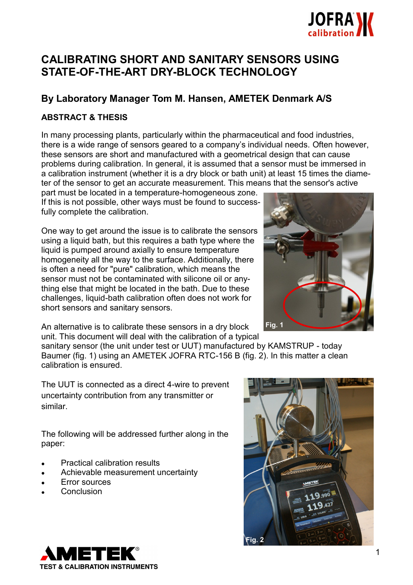

# **CALIBRATING SHORT AND SANITARY SENSORS USING STATE-OF-THE-ART DRY-BLOCK TECHNOLOGY**

# **By Laboratory Manager Tom M. Hansen, AMETEK Denmark A/S**

# **ABSTRACT & THESIS**

In many processing plants, particularly within the pharmaceutical and food industries, there is a wide range of sensors geared to a company's individual needs. Often however, these sensors are short and manufactured with a geometrical design that can cause problems during calibration. In general, it is assumed that a sensor must be immersed in a calibration instrument (whether it is a dry block or bath unit) at least 15 times the diameter of the sensor to get an accurate measurement. This means that the sensor's active

part must be located in a temperature-homogeneous zone. If this is not possible, other ways must be found to successfully complete the calibration.

One way to get around the issue is to calibrate the sensors using a liquid bath, but this requires a bath type where the liquid is pumped around axially to ensure temperature homogeneity all the way to the surface. Additionally, there is often a need for "pure" calibration, which means the sensor must not be contaminated with silicone oil or anything else that might be located in the bath. Due to these challenges, liquid-bath calibration often does not work for short sensors and sanitary sensors.



An alternative is to calibrate these sensors in a dry block unit. This document will deal with the calibration of a typical

sanitary sensor (the unit under test or UUT) manufactured by KAMSTRUP - today Baumer (fig. 1) using an AMETEK JOFRA RTC-156 B (fig. 2). In this matter a clean calibration is ensured.

The UUT is connected as a direct 4-wire to prevent uncertainty contribution from any transmitter or similar.

The following will be addressed further along in the paper:

- Practical calibration results
- Achievable measurement uncertainty
- Error sources
- **Conclusion**



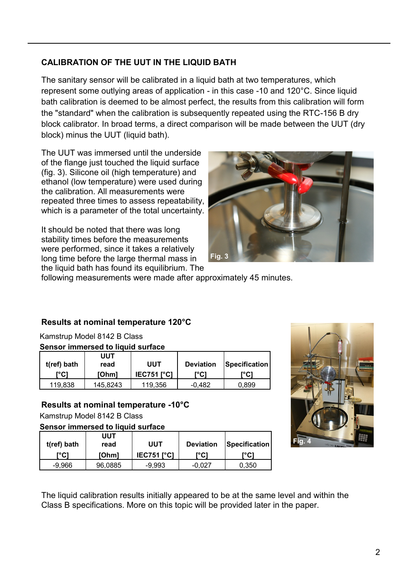# **CALIBRATION OF THE UUT IN THE LIQUID BATH**

The sanitary sensor will be calibrated in a liquid bath at two temperatures, which represent some outlying areas of application - in this case -10 and 120°C. Since liquid bath calibration is deemed to be almost perfect, the results from this calibration will form the "standard" when the calibration is subsequently repeated using the RTC-156 B dry block calibrator. In broad terms, a direct comparison will be made between the UUT (dry block) minus the UUT (liquid bath).

The UUT was immersed until the underside of the flange just touched the liquid surface (fig. 3). Silicone oil (high temperature) and ethanol (low temperature) were used during the calibration. All measurements were repeated three times to assess repeatability, which is a parameter of the total uncertainty.

It should be noted that there was long stability times before the measurements were performed, since it takes a relatively long time before the large thermal mass in the liquid bath has found its equilibrium. The



following measurements were made after approximately 45 minutes.

# **Results at nominal temperature 120°C**

Kamstrup Model 8142 B Class **Sensor immersed to liquid surface**

| OCHSOF INITIO SCU to HUUTU SUNUCC |          |                   |                  |               |  |  |  |  |
|-----------------------------------|----------|-------------------|------------------|---------------|--|--|--|--|
|                                   | UUT      |                   |                  |               |  |  |  |  |
| t(ref) bath                       | read     | UUT               | <b>Deviation</b> | Specification |  |  |  |  |
| r°C1                              | [Ohm]    | <b>IEC751 PCI</b> | r°C1             | r°C1          |  |  |  |  |
| 119,838                           | 145,8243 | 119.356           | -0.482           | 0,899         |  |  |  |  |

## **Results at nominal temperature -10°C**

Kamstrup Model 8142 B Class

**Sensor immersed to liquid surface**

| t(ref) bath | UUT<br>read  | UUT               | <b>Deviation</b> | <b>Specification</b> |
|-------------|--------------|-------------------|------------------|----------------------|
| r°Cì        | <b>[Ohm]</b> | <b>IEC751 PCT</b> | r°C1             |                      |
| -9.966      | 96.0885      | -9.993            | -0.027           | 0.350                |



The liquid calibration results initially appeared to be at the same level and within the Class B specifications. More on this topic will be provided later in the paper.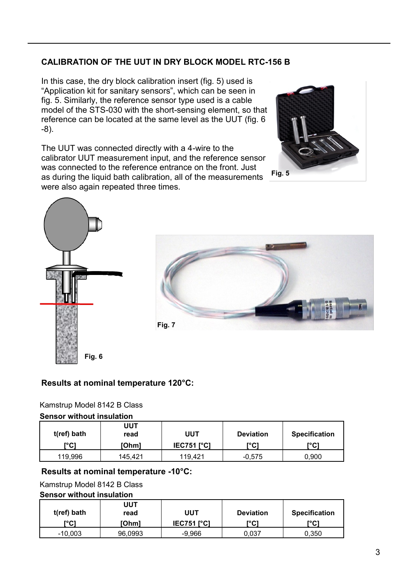# **CALIBRATION OF THE UUT IN DRY BLOCK MODEL RTC-156 B**

In this case, the dry block calibration insert (fig. 5) used is "Application kit for sanitary sensors", which can be seen in fig. 5. Similarly, the reference sensor type used is a cable model of the STS-030 with the short-sensing element, so that reference can be located at the same level as the UUT (fig. 6 -8).

The UUT was connected directly with a 4-wire to the calibrator UUT measurement input, and the reference sensor was connected to the reference entrance on the front. Just as during the liquid bath calibration, all of the measurements were also again repeated three times.







# **Results at nominal temperature 120°C:**

## Kamstrup Model 8142 B Class

#### **Sensor without insulation**

| t(ref) bath<br>r°C1 | UUT<br>read<br>[Ohm] | UUT<br>$IEC751$ $[^{\circ}C]$ | <b>Deviation</b><br>୮°Cነ | <b>Specification</b><br>r°C1 |
|---------------------|----------------------|-------------------------------|--------------------------|------------------------------|
| 119.996             | 145.421              | 119.421                       | $-0,575$                 | 0,900                        |

## **Results at nominal temperature -10°C:**

## Kamstrup Model 8142 B Class

#### **Sensor without insulation**

| t(ref) bath<br>r°C1 | UUT<br>read<br>[Ohm] | UUT<br>$IEC751$ $[^{\circ}C]$ | <b>Deviation</b><br>r°C1 | <b>Specification</b><br>r°C1 |
|---------------------|----------------------|-------------------------------|--------------------------|------------------------------|
| $-10,003$           | 96,0993              | $-9.966$                      | 0.037                    | 0,350                        |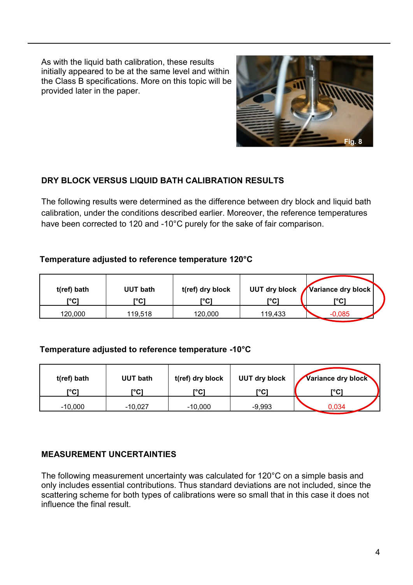As with the liquid bath calibration, these results initially appeared to be at the same level and within the Class B specifications. More on this topic will be provided later in the paper.



# **DRY BLOCK VERSUS LIQUID BATH CALIBRATION RESULTS**

The following results were determined as the difference between dry block and liquid bath calibration, under the conditions described earlier. Moreover, the reference temperatures have been corrected to 120 and -10°C purely for the sake of fair comparison.

# **Temperature adjusted to reference temperature 120°C**

| t(ref) bath<br>[°C] | UUT bath<br>™C i | t(ref) dry block<br>r°Cו | ™Cì     | UUT dry block Variance dry block<br>r°C1 |  |
|---------------------|------------------|--------------------------|---------|------------------------------------------|--|
| 120,000             | 119,518          | 120,000                  | 119,433 | -0,085                                   |  |

# **Temperature adjusted to reference temperature -10°C**

| t(ref) bath | UUT bath  | t(ref) dry block | <b>UUT dry block</b> | Variance dry block |
|-------------|-----------|------------------|----------------------|--------------------|
| r°C1        | r°C1      | r°C1             | ™C1                  | r°C1               |
| $-10,000$   | $-10.027$ | $-10,000$        | $-9,993$             | 0,034              |

# **MEASUREMENT UNCERTAINTIES**

The following measurement uncertainty was calculated for 120°C on a simple basis and only includes essential contributions. Thus standard deviations are not included, since the scattering scheme for both types of calibrations were so small that in this case it does not influence the final result.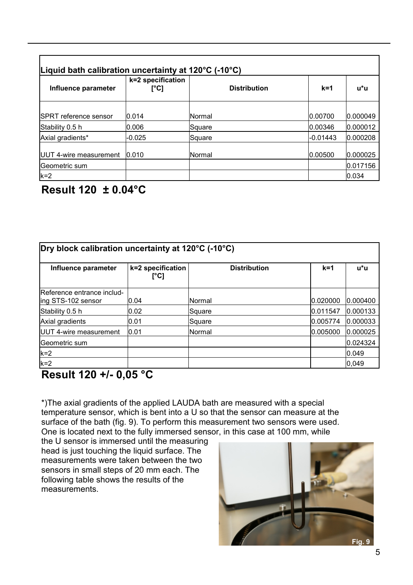| Liquid bath calibration uncertainty at 120 $\degree$ C (-10 $\degree$ C) |                           |                     |            |          |  |  |  |
|--------------------------------------------------------------------------|---------------------------|---------------------|------------|----------|--|--|--|
| Influence parameter                                                      | k=2 specification<br>[°C] | <b>Distribution</b> | $k=1$      | u*u      |  |  |  |
|                                                                          |                           |                     |            |          |  |  |  |
| <b>SPRT</b> reference sensor                                             | 0.014                     | <b>Normal</b>       | 0.00700    | 0.000049 |  |  |  |
| Stability 0.5 h                                                          | 0.006                     | Square              | 0.00346    | 0.000012 |  |  |  |
| Axial gradients*                                                         | $-0.025$                  | Square              | $-0.01443$ | 0.000208 |  |  |  |
| <b>IUUT 4-wire measurement</b>                                           | 0.010                     | <b>Normal</b>       | 0.00500    | 0.000025 |  |  |  |
| lGeometric sum                                                           |                           |                     |            | 0.017156 |  |  |  |
| $k=2$                                                                    |                           |                     |            | 0.034    |  |  |  |

# **Result 120 ± 0.04°C**

| Influence parameter                              | k=2 specification<br>[°C] | <b>Distribution</b> | $k=1$    | $u^*u$   |
|--------------------------------------------------|---------------------------|---------------------|----------|----------|
| Reference entrance includ-<br>ing STS-102 sensor | 0.04                      | Normal              | 0.020000 | 0.000400 |
| Stability 0.5 h                                  | 0.02                      | Square              | 0.011547 | 0.000133 |
| Axial gradients                                  | 0.01                      | Square              | 0.005774 | 0.000033 |
| UUT 4-wire measurement                           | 0.01                      | Normal              | 0.005000 | 0.000025 |
| Geometric sum                                    |                           |                     |          | 0.024324 |
| $k=2$                                            |                           |                     |          | 0.049    |
| $k=2$                                            |                           |                     |          | 0,049    |

# **Result 120 +/- 0,05 °C**

\*)The axial gradients of the applied LAUDA bath are measured with a special temperature sensor, which is bent into a U so that the sensor can measure at the surface of the bath (fig. 9). To perform this measurement two sensors were used. One is located next to the fully immersed sensor, in this case at 100 mm, while

the U sensor is immersed until the measuring head is just touching the liquid surface. The measurements were taken between the two sensors in small steps of 20 mm each. The following table shows the results of the measurements.

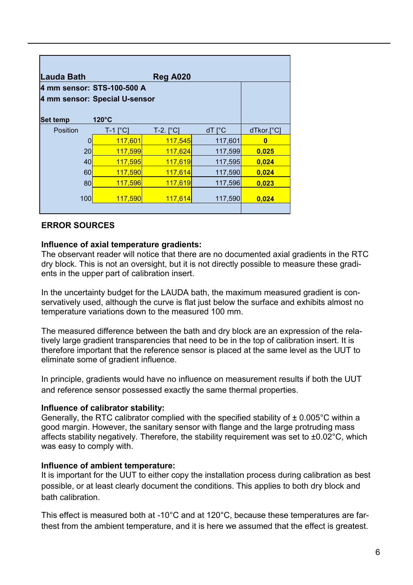| <b>Lauda Bath</b>             |                       | <b>Reg A020</b>        |                        |            |  |  |
|-------------------------------|-----------------------|------------------------|------------------------|------------|--|--|
| 4 mm sensor: STS-100-500 A    |                       |                        |                        |            |  |  |
| 4 mm sensor: Special U-sensor |                       |                        |                        |            |  |  |
| <b>Set temp</b>               | 120°C                 |                        |                        |            |  |  |
| Position                      | $T-1$ [ $^{\circ}$ C] | $T-2.$ [ $^{\circ}$ C] | $dT \upharpoonright C$ | dTkor.[°C] |  |  |
| 0                             | 117,601               | 117,545                | 117,601                | 0          |  |  |
| 20                            | 117,599               | 117,624                | 117,599                | 0,025      |  |  |
| 40                            | 117,595               | 117,619                | 117,595                | 0,024      |  |  |
| 60                            | 117,590               | 117,614                | 117,590                | 0,024      |  |  |
| 80                            | 117,596               | 117,619                | 117,596                | 0,023      |  |  |
| 100                           | <u>117,590</u>        | 117,614                | 117,590                | 0,024      |  |  |

## **ERROR SOURCES**

#### **Influence of axial temperature gradients:**

The observant reader will notice that there are no documented axial gradients in the RTC dry block. This is not an oversight, but it is not directly possible to measure these gradients in the upper part of calibration insert.

In the uncertainty budget for the LAUDA bath, the maximum measured gradient is conservatively used, although the curve is flat just below the surface and exhibits almost no temperature variations down to the measured 100 mm.

The measured difference between the bath and dry block are an expression of the relatively large gradient transparencies that need to be in the top of calibration insert. It is therefore important that the reference sensor is placed at the same level as the UUT to eliminate some of gradient influence.

In principle, gradients would have no influence on measurement results if both the UUT and reference sensor possessed exactly the same thermal properties.

#### **Influence of calibrator stability:**

Generally, the RTC calibrator complied with the specified stability of  $\pm$  0.005°C within a good margin. However, the sanitary sensor with flange and the large protruding mass affects stability negatively. Therefore, the stability requirement was set to ±0.02°C, which was easy to comply with.

#### **Influence of ambient temperature:**

It is important for the UUT to either copy the installation process during calibration as best possible, or at least clearly document the conditions. This applies to both dry block and bath calibration.

This effect is measured both at -10°C and at 120°C, because these temperatures are farthest from the ambient temperature, and it is here we assumed that the effect is greatest.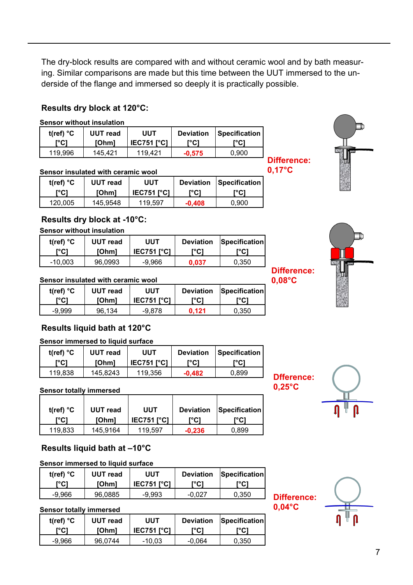The dry-block results are compared with and without ceramic wool and by bath measuring. Similar comparisons are made but this time between the UUT immersed to the underside of the flange and immersed so deeply it is practically possible.

# **Results dry block at 120°C:**

#### **Sensor without insulation**

| t(ref) $^{\circ}$ C | UUT read | UUT                | <b>Deviation</b> | l Specification |
|---------------------|----------|--------------------|------------------|-----------------|
| ™Cï                 | [Ohm]    | <b>IEC751 I°C1</b> | "C)ା             | ™C`I            |
| 119.996             | 145.421  | 119,421            | $-0.575$         | 0.900           |

#### **Sensor insulated with ceramic wool**

| t(ref) $^{\circ}$ C | UUT read | UUT                | <b>Deviation</b> | <b>Specification I</b> |
|---------------------|----------|--------------------|------------------|------------------------|
| ${^{\circ}C}$       | [Ohm]    | <b>IEC751 I°C1</b> | י°Cו             | ™C1                    |
| 120,005             | 145,9548 | 119.597            | $-0,408$         | 0.900                  |

## **Results dry block at -10°C:**

#### **Sensor without insulation**

| t(ref) $^{\circ}$ C | UUT read | UUT               | <b>Deviation</b> | <b>Specification</b> |
|---------------------|----------|-------------------|------------------|----------------------|
| r°C)                | [Ohm]    | <b>IEC751 PCI</b> | r°C1             | "C)                  |
| -10.003             | 96,0993  | -9.966            | 0.037            | 0.350                |

#### **Sensor insulated with ceramic wool**

| t(ref) $^{\circ}$ C | UUT read | UUT               | <b>Deviation</b> | Specification |
|---------------------|----------|-------------------|------------------|---------------|
| [°C]                | [Ohm]    | <b>IEC751 PCI</b> | ™Cì              | "C)           |
| -9.999              | 96.134   | -9.878            | 0.121            | 0.350         |

# **Results liquid bath at 120°C**

#### **Sensor immersed to liquid surface**

| t(ref) $^{\circ}$ C | UUT read     | <b>UUT</b>        | <b>Deviation</b> | Specification |
|---------------------|--------------|-------------------|------------------|---------------|
| <b>r°C)</b>         | <b>[Ohm]</b> | <b>IEC751 PC1</b> | ™C) <sup>-</sup> | r°C1          |
| 119.838             | 145.8243     | 119.356           | $-0.482$         | 0.899         |

#### **Sensor totally immersed**

| t(ref) $^{\circ}$ C | <b>UUT</b> read | UUT               | <b>Deviation</b> | Specification |
|---------------------|-----------------|-------------------|------------------|---------------|
| ™Cï                 | <b>[Ohm]</b>    | <b>IEC751 PCI</b> | יC)              | [°C]          |
| 119.833             | 145.9164        | 119.597           | $-0.236$         | 0.899         |

# **Results liquid bath at –10°C**

## **Sensor immersed to liquid surface**

| t(ref) $^{\circ}$ C | UUT read     | UUT                | <b>Deviation</b> | <b>Specification</b> |
|---------------------|--------------|--------------------|------------------|----------------------|
| r∘C).               | <b>[Ohm]</b> | <b>IEC751 I°C1</b> | r°Cì             | "C) ີ                |
| -9.966              | 96.0885      | -9.993             | $-0.027$         | 0.350                |

#### **Sensor totally immersed**

| t(ref) $^{\circ}$ C | <b>UUT</b> read | UUT               | <b>Deviation</b> | Specification |
|---------------------|-----------------|-------------------|------------------|---------------|
| <b>r°C1</b>         | <b>[Ohm]</b>    | <b>IEC751 PCI</b> | ™Cl              |               |
| -9.966              | 96,0744         | -10.03            | -0.064           | 0.350         |

**Difference: 0,17°C**

> **Difference: 0,08°C**







**0,04°C**